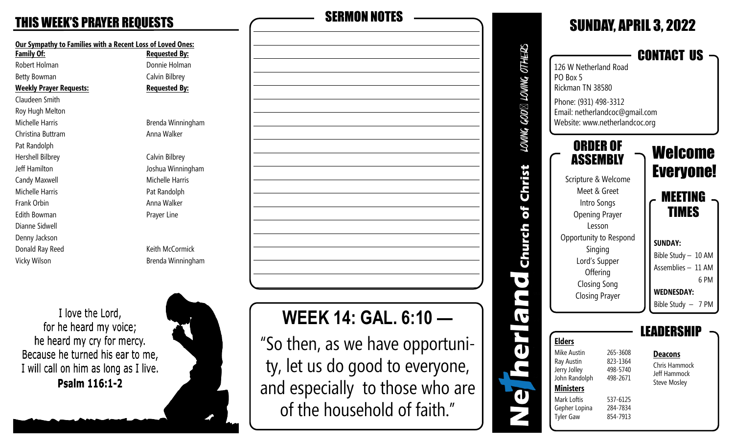**Our Sympathy to Families with a Recent Loss of Loved Ones: Family Of: Requested By:** Robert Holman **Donnie Holman** Betty Bowman Calvin Bilbrey **Weekly Prayer Requests: Requested By:** Claudeen Smith Roy Hugh Melton Michelle Harris Brenda Winningham Christina Buttram **Anna Walker** Pat Randolph Hershell Bilbrey Calvin Bilbrey Jeff Hamilton Joshua Winningham Candy Maxwell **Michelle Harris** Michelle Harris Michelle Harris **Pat Randolph** Frank Orbin **Anna Walker Anna Walker** Edith Bowman **Prayer Line** Dianne Sidwell Denny Jackson Donald Ray Reed Keith McCormick Vicky Wilson **Brenda Winningham** 

I love the Lord, for he heard my voice; he heard my cry for mercy. Because he turned his ear to me, I will call on him as long as I live. Psalm 116:1-2





# **WEEK 14: GAL. 6:10 —**

"So then, as we have opportunity, let us do good to everyone, and especially to those who are of the household of faith."